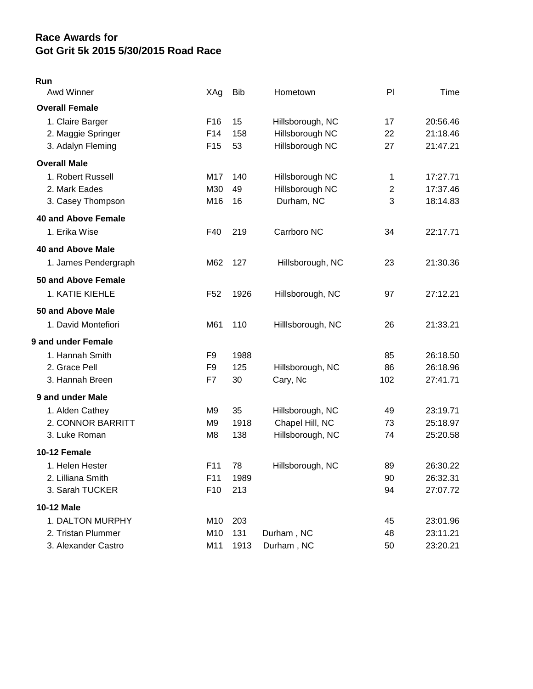## **Race Awards for Got Grit 5k 2015 5/30/2015 Road Race**

## **Run**

| Awd Winner                 | XAg             | <b>Bib</b> | Hometown         | PI             | Time     |
|----------------------------|-----------------|------------|------------------|----------------|----------|
| <b>Overall Female</b>      |                 |            |                  |                |          |
| 1. Claire Barger           | F <sub>16</sub> | 15         | Hillsborough, NC | 17             | 20:56.46 |
| 2. Maggie Springer         | F14             | 158        | Hillsborough NC  | 22             | 21:18.46 |
| 3. Adalyn Fleming          | F <sub>15</sub> | 53         | Hillsborough NC  | 27             | 21:47.21 |
| <b>Overall Male</b>        |                 |            |                  |                |          |
| 1. Robert Russell          | M17             | 140        | Hillsborough NC  | 1              | 17:27.71 |
| 2. Mark Eades              | M30             | 49         | Hillsborough NC  | $\overline{2}$ | 17:37.46 |
| 3. Casey Thompson          | M16             | 16         | Durham, NC       | 3              | 18:14.83 |
| <b>40 and Above Female</b> |                 |            |                  |                |          |
| 1. Erika Wise              | F40             | 219        | Carrboro NC      | 34             | 22:17.71 |
| <b>40 and Above Male</b>   |                 |            |                  |                |          |
| 1. James Pendergraph       | M62             | 127        | Hillsborough, NC | 23             | 21:30.36 |
| 50 and Above Female        |                 |            |                  |                |          |
| 1. KATIE KIEHLE            | F <sub>52</sub> | 1926       | Hillsborough, NC | 97             | 27:12.21 |
| 50 and Above Male          |                 |            |                  |                |          |
| 1. David Montefiori        | M61             | 110        | Hillsborough, NC | 26             | 21:33.21 |
| <b>9 and under Female</b>  |                 |            |                  |                |          |
| 1. Hannah Smith            | F9              | 1988       |                  | 85             | 26:18.50 |
| 2. Grace Pell              | F9              | 125        | Hillsborough, NC | 86             | 26:18.96 |
| 3. Hannah Breen            | F7              | 30         | Cary, Nc         | 102            | 27:41.71 |
| 9 and under Male           |                 |            |                  |                |          |
| 1. Alden Cathey            | M9              | 35         | Hillsborough, NC | 49             | 23:19.71 |
| 2. CONNOR BARRITT          | M9              | 1918       | Chapel Hill, NC  | 73             | 25:18.97 |
| 3. Luke Roman              | M <sub>8</sub>  | 138        | Hillsborough, NC | 74             | 25:20.58 |
| 10-12 Female               |                 |            |                  |                |          |
| 1. Helen Hester            | F <sub>11</sub> | 78         | Hillsborough, NC | 89             | 26:30.22 |
| 2. Lilliana Smith          | F11             | 1989       |                  | 90             | 26:32.31 |
| 3. Sarah TUCKER            | F <sub>10</sub> | 213        |                  | 94             | 27:07.72 |
| 10-12 Male                 |                 |            |                  |                |          |
| 1. DALTON MURPHY           | M10             | 203        |                  | 45             | 23:01.96 |
| 2. Tristan Plummer         | M10             | 131        | Durham, NC       | 48             | 23:11.21 |
| 3. Alexander Castro        | M11             | 1913       | Durham, NC       | 50             | 23:20.21 |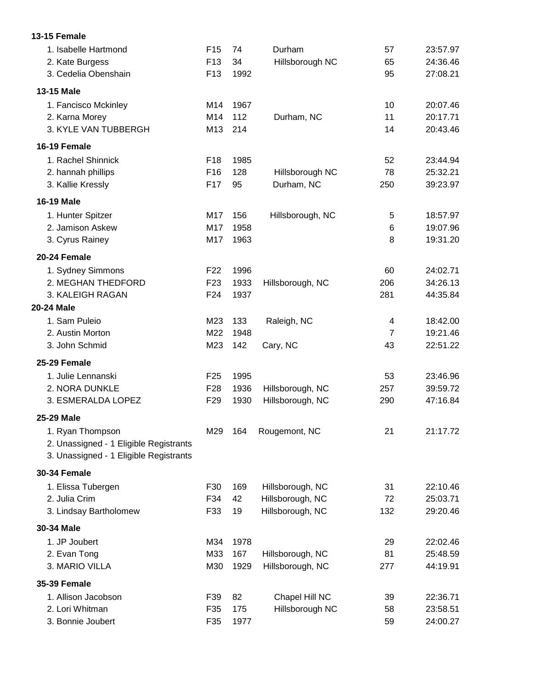| 1. Isabelle Hartmond<br>2. Kate Burgess | F <sub>15</sub><br>F <sub>13</sub> | 74<br>34 | Durham<br>Hillsborough NC | 57<br>65       | 23:57.97<br>24:36.46 |
|-----------------------------------------|------------------------------------|----------|---------------------------|----------------|----------------------|
| 3. Cedelia Obenshain                    | F <sub>13</sub>                    | 1992     |                           | 95             | 27:08.21             |
| 13-15 Male                              |                                    |          |                           |                |                      |
| 1. Fancisco Mckinley                    | M14                                | 1967     |                           | 10             | 20:07.46             |
| 2. Karna Morey                          | M14                                | 112      | Durham, NC                | 11             | 20:17.71             |
| 3. KYLE VAN TUBBERGH                    | M13                                | 214      |                           | 14             | 20:43.46             |
| 16-19 Female                            |                                    |          |                           |                |                      |
| 1. Rachel Shinnick                      | F18                                | 1985     |                           | 52             | 23:44.94             |
| 2. hannah phillips                      | F16                                | 128      | Hillsborough NC           | 78             | 25:32.21             |
| 3. Kallie Kressly                       | F17                                | 95       | Durham, NC                | 250            | 39:23.97             |
| <b>16-19 Male</b>                       |                                    |          |                           |                |                      |
| 1. Hunter Spitzer                       | M17                                | 156      | Hillsborough, NC          | 5              | 18:57.97             |
| 2. Jamison Askew                        | M17                                | 1958     |                           | 6              | 19:07.96             |
| 3. Cyrus Rainey                         | M17                                | 1963     |                           | 8              | 19:31.20             |
| 20-24 Female                            |                                    |          |                           |                |                      |
| 1. Sydney Simmons                       | F22                                | 1996     |                           | 60             | 24:02.71             |
| 2. MEGHAN THEDFORD                      | F <sub>23</sub>                    | 1933     | Hillsborough, NC          | 206            | 34:26.13             |
| 3. KALEIGH RAGAN                        | F <sub>24</sub>                    | 1937     |                           | 281            | 44:35.84             |
| <b>20-24 Male</b>                       |                                    |          |                           |                |                      |
| 1. Sam Puleio                           | M23                                | 133      | Raleigh, NC               | 4              | 18:42.00             |
| 2. Austin Morton                        | M22                                | 1948     |                           | $\overline{7}$ | 19:21.46             |
| 3. John Schmid                          | M23                                | 142      | Cary, NC                  | 43             | 22:51.22             |
| 25-29 Female                            |                                    |          |                           |                |                      |
| 1. Julie Lennanski                      | F <sub>25</sub>                    | 1995     |                           | 53             | 23:46.96             |
| 2. NORA DUNKLE                          | F <sub>28</sub>                    | 1936     | Hillsborough, NC          | 257            | 39:59.72             |
| 3. ESMERALDA LOPEZ                      | F <sub>29</sub>                    | 1930     | Hillsborough, NC          | 290            | 47:16.84             |
| 25-29 Male                              |                                    |          |                           |                |                      |
| 1. Ryan Thompson                        | M29                                |          | 164 Rougemont, NC         | 21             | 21:17.72             |
| 2. Unassigned - 1 Eligible Registrants  |                                    |          |                           |                |                      |
| 3. Unassigned - 1 Eligible Registrants  |                                    |          |                           |                |                      |
| <b>30-34 Female</b>                     |                                    |          |                           |                |                      |
| 1. Elissa Tubergen                      | F30                                | 169      | Hillsborough, NC          | 31             | 22:10.46             |
| 2. Julia Crim                           | F34                                | 42       | Hillsborough, NC          | 72             | 25:03.71             |
| 3. Lindsay Bartholomew                  | F33                                | 19       | Hillsborough, NC          | 132            | 29:20.46             |
| 30-34 Male                              |                                    |          |                           |                |                      |
| 1. JP Joubert                           | M34                                | 1978     |                           | 29             | 22:02.46             |
| 2. Evan Tong                            | M33                                | 167      | Hillsborough, NC          | 81             | 25:48.59             |
| 3. MARIO VILLA                          | M30                                | 1929     | Hillsborough, NC          | 277            | 44:19.91             |
| <b>35-39 Female</b>                     |                                    |          |                           |                |                      |
| 1. Allison Jacobson                     | F39                                | 82       | Chapel Hill NC            | 39             | 22:36.71             |
| 2. Lori Whitman                         | F35                                | 175      | Hillsborough NC           | 58             | 23:58.51             |
| 3. Bonnie Joubert                       | F35                                | 1977     |                           | 59             | 24:00.27             |

**13-15 Female**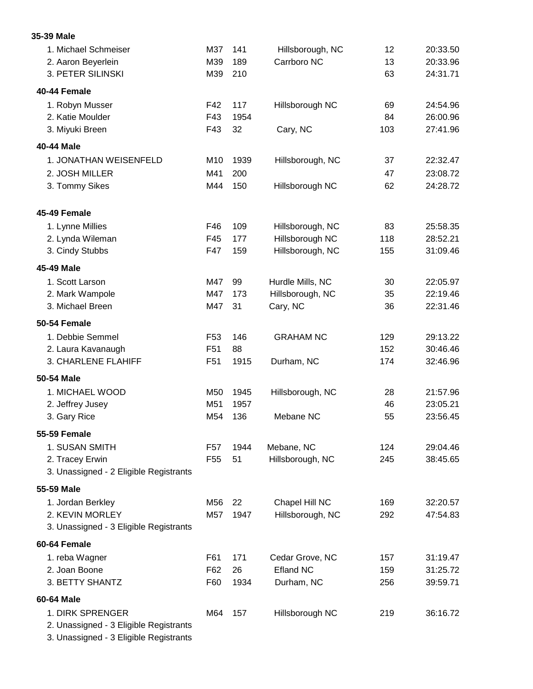| 1. Michael Schmeiser<br>2. Aaron Beyerlein                | M37<br>M39      | 141<br>189  | Hillsborough, NC<br>Carrboro NC | 12<br>13 | 20:33.50<br>20:33.96 |
|-----------------------------------------------------------|-----------------|-------------|---------------------------------|----------|----------------------|
| 3. PETER SILINSKI                                         | M39             | 210         |                                 | 63       | 24:31.71             |
| 40-44 Female                                              |                 |             |                                 |          |                      |
| 1. Robyn Musser<br>2. Katie Moulder                       | F42<br>F43      | 117<br>1954 | Hillsborough NC                 | 69<br>84 | 24:54.96<br>26:00.96 |
| 3. Miyuki Breen                                           | F43             | 32          | Cary, NC                        | 103      | 27:41.96             |
| 40-44 Male                                                |                 |             |                                 |          |                      |
| 1. JONATHAN WEISENFELD                                    | M10             | 1939        | Hillsborough, NC                | 37       | 22:32.47             |
| 2. JOSH MILLER                                            | M41             | 200         |                                 | 47       | 23:08.72             |
| 3. Tommy Sikes                                            | M44             | 150         | Hillsborough NC                 | 62       | 24:28.72             |
| 45-49 Female                                              |                 |             |                                 |          |                      |
| 1. Lynne Millies                                          | F46             | 109         | Hillsborough, NC                | 83       | 25:58.35             |
| 2. Lynda Wileman                                          | F45             | 177         | Hillsborough NC                 | 118      | 28:52.21             |
| 3. Cindy Stubbs                                           | F47             | 159         | Hillsborough, NC                | 155      | 31:09.46             |
| 45-49 Male                                                |                 |             |                                 |          |                      |
| 1. Scott Larson                                           | M47             | 99          | Hurdle Mills, NC                | 30       | 22:05.97             |
| 2. Mark Wampole                                           | M47             | 173         | Hillsborough, NC                | 35       | 22:19.46             |
| 3. Michael Breen                                          | M47             | 31          | Cary, NC                        | 36       | 22:31.46             |
| 50-54 Female                                              |                 |             |                                 |          |                      |
| 1. Debbie Semmel                                          | F <sub>53</sub> | 146         | <b>GRAHAM NC</b>                | 129      | 29:13.22             |
| 2. Laura Kavanaugh                                        | F <sub>51</sub> | 88          |                                 | 152      | 30:46.46             |
| 3. CHARLENE FLAHIFF                                       | F <sub>51</sub> | 1915        | Durham, NC                      | 174      | 32:46.96             |
| 50-54 Male                                                |                 |             |                                 |          |                      |
| 1. MICHAEL WOOD                                           | M50             | 1945        | Hillsborough, NC                | 28       | 21:57.96             |
| 2. Jeffrey Jusey                                          | M51             | 1957        |                                 | 46       | 23:05.21             |
| 3. Gary Rice                                              | M54             | 136         | Mebane NC                       | 55       | 23:56.45             |
| 55-59 Female                                              |                 |             |                                 |          |                      |
| 1. SUSAN SMITH                                            | F57             | 1944        | Mebane, NC                      | 124      | 29:04.46             |
| 2. Tracey Erwin<br>3. Unassigned - 2 Eligible Registrants | F <sub>55</sub> | 51          | Hillsborough, NC                | 245      | 38:45.65             |
| 55-59 Male                                                |                 |             |                                 |          |                      |
| 1. Jordan Berkley                                         | M56             | 22          | Chapel Hill NC                  | 169      | 32:20.57             |
| 2. KEVIN MORLEY                                           | M57             | 1947        | Hillsborough, NC                | 292      | 47:54.83             |
| 3. Unassigned - 3 Eligible Registrants                    |                 |             |                                 |          |                      |
| 60-64 Female                                              |                 |             |                                 |          |                      |
| 1. reba Wagner                                            | F61             | 171         | Cedar Grove, NC                 | 157      | 31:19.47             |
| 2. Joan Boone                                             | F62             | 26          | <b>Efland NC</b>                | 159      | 31:25.72             |
| 3. BETTY SHANTZ                                           | F60             | 1934        | Durham, NC                      | 256      | 39:59.71             |
| 60-64 Male                                                |                 |             |                                 |          |                      |
| 1. DIRK SPRENGER                                          | M64             | 157         | Hillsborough NC                 | 219      | 36:16.72             |
| 2. Unassigned - 3 Eligible Registrants                    |                 |             |                                 |          |                      |

3. Unassigned - 3 Eligible Registrants

**35-39 Male**